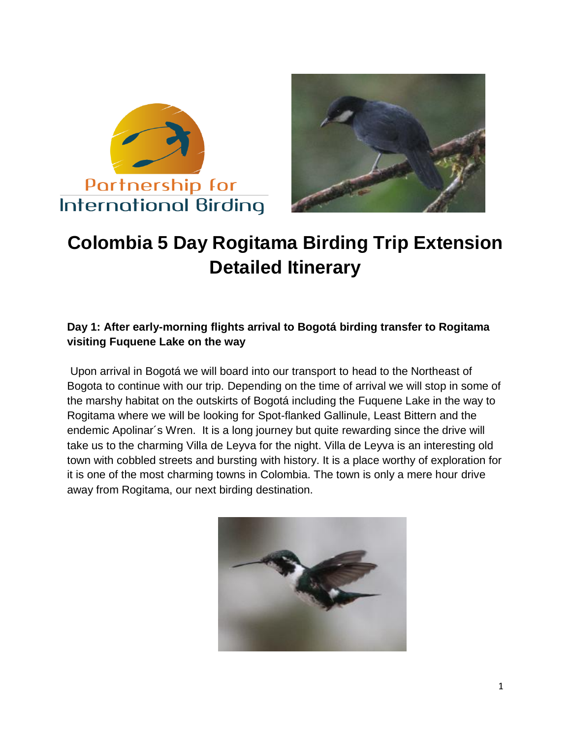



# **Colombia 5 Day Rogitama Birding Trip Extension Detailed Itinerary**

### **Day 1: After early-morning flights arrival to Bogotá birding transfer to Rogitama visiting Fuquene Lake on the way**

Upon arrival in Bogotá we will board into our transport to head to the Northeast of Bogota to continue with our trip. Depending on the time of arrival we will stop in some of the marshy habitat on the outskirts of Bogotá including the Fuquene Lake in the way to Rogitama where we will be looking for Spot-flanked Gallinule, Least Bittern and the endemic Apolinar´s Wren. It is a long journey but quite rewarding since the drive will take us to the charming Villa de Leyva for the night. Villa de Leyva is an interesting old town with cobbled streets and bursting with history. It is a place worthy of exploration for it is one of the most charming towns in Colombia. The town is only a mere hour drive away from Rogitama, our next birding destination.

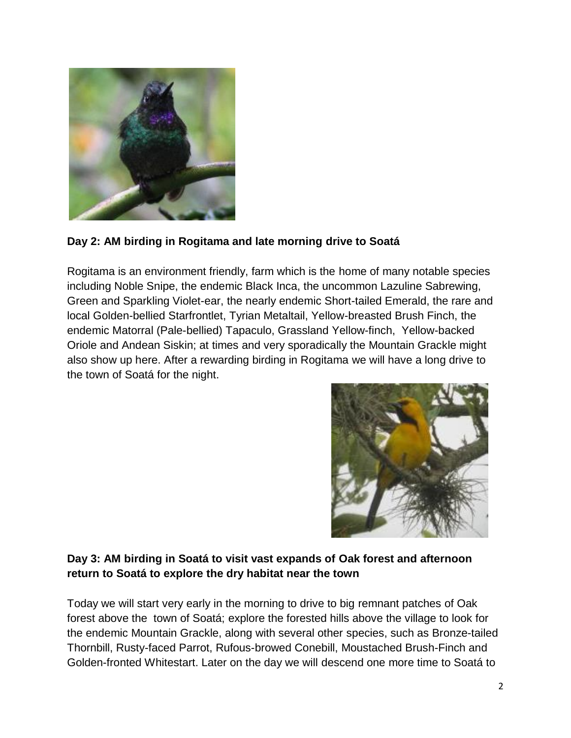

#### **Day 2: AM birding in Rogitama and late morning drive to Soatá**

Rogitama is an environment friendly, farm which is the home of many notable species including Noble Snipe, the endemic Black Inca, the uncommon Lazuline Sabrewing, Green and Sparkling Violet-ear, the nearly endemic Short-tailed Emerald, the rare and local Golden-bellied Starfrontlet, Tyrian Metaltail, Yellow-breasted Brush Finch, the endemic Matorral (Pale-bellied) Tapaculo, Grassland Yellow-finch, Yellow-backed Oriole and Andean Siskin; at times and very sporadically the Mountain Grackle might also show up here. After a rewarding birding in Rogitama we will have a long drive to the town of Soatá for the night.



#### **Day 3: AM birding in Soatá to visit vast expands of Oak forest and afternoon return to Soatá to explore the dry habitat near the town**

Today we will start very early in the morning to drive to big remnant patches of Oak forest above the town of Soatá; explore the forested hills above the village to look for the endemic Mountain Grackle, along with several other species, such as Bronze-tailed Thornbill, Rusty-faced Parrot, Rufous-browed Conebill, Moustached Brush-Finch and Golden-fronted Whitestart. Later on the day we will descend one more time to Soatá to